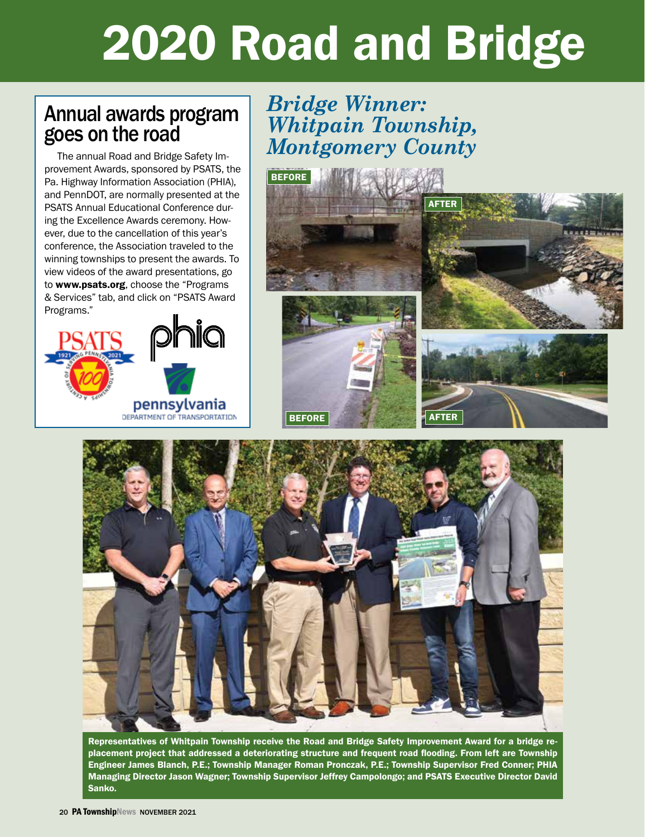# 2020 Road and Bridge

### Annual awards program goes on the road

The annual Road and Bridge Safety Improvement Awards, sponsored by PSATS, the Pa. Highway Information Association (PHIA), and PennDOT, are normally presented at the PSATS Annual Educational Conference during the Excellence Awards ceremony. However, due to the cancellation of this year's conference, the Association traveled to the winning townships to present the awards. To view videos of the award presentations, go to www.psats.org, choose the "Programs & Services" tab, and click on "PSATS Award Programs."



### *Bridge Winner: Whitpain Township, Montgomery County*





Representatives of Whitpain Township receive the Road and Bridge Safety Improvement Award for a bridge replacement project that addressed a deteriorating structure and frequent road flooding. From left are Township Engineer James Blanch, P.E.; Township Manager Roman Pronczak, P.E.; Township Supervisor Fred Conner; PHIA Managing Director Jason Wagner; Township Supervisor Jeffrey Campolongo; and PSATS Executive Director David Sanko.